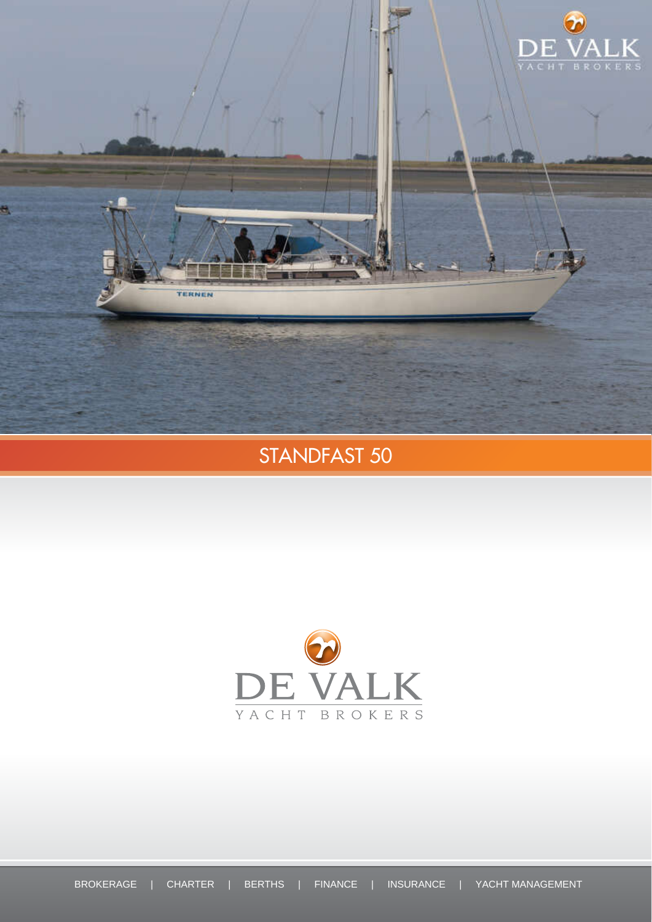

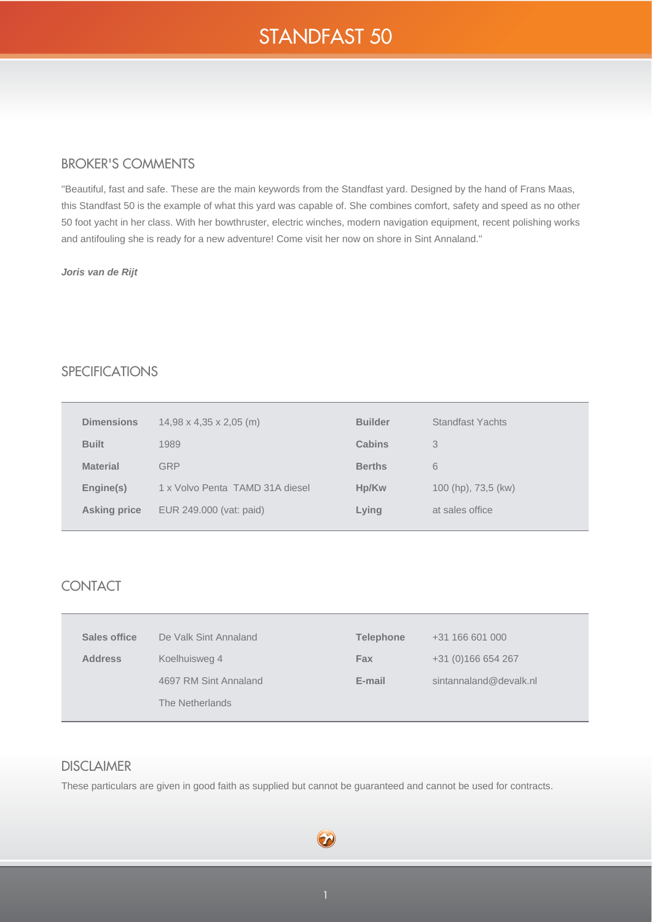### **BROKER'S COMMENTS**

''Beautiful, fast and safe. These are the main keywords from the Standfast yard. Designed by the hand of Frans Maas, this Standfast 50 is the example of what this yard was capable of. She combines comfort, safety and speed as no other 50 foot yacht in her class. With her bowthruster, electric winches, modern navigation equipment, recent polishing works and antifouling she is ready for a new adventure! Come visit her now on shore in Sint Annaland.''

#### **Joris van de Rijt**

### **SPECIFICATIONS**

| <b>Dimensions</b>   | $14,98 \times 4,35 \times 2,05$ (m) | <b>Builder</b> | Standfast Yachts    |
|---------------------|-------------------------------------|----------------|---------------------|
| <b>Built</b>        | 1989                                | Cabins         | 3                   |
| <b>Material</b>     | GRP                                 | <b>Berths</b>  | 6                   |
| Engine(s)           | 1 x Volvo Penta TAMD 31A diesel     | Hp/Kw          | 100 (hp), 73,5 (kw) |
| <b>Asking price</b> | EUR 249.000 (vat: paid)             | Lying          | at sales office     |
|                     |                                     |                |                     |

### **CONTACT**

| De Valk Sint Annaland | <b>Telephone</b> | +31 166 601 000        |
|-----------------------|------------------|------------------------|
| Koelhuisweg 4         | <b>Fax</b>       | +31 (0) 166 654 267    |
| 4697 RM Sint Annaland | E-mail           | sintannaland@devalk.nl |
| The Netherlands       |                  |                        |
|                       |                  |                        |

### **DISCLAIMER**

These particulars are given in good faith as supplied but cannot be guaranteed and cannot be used for contracts.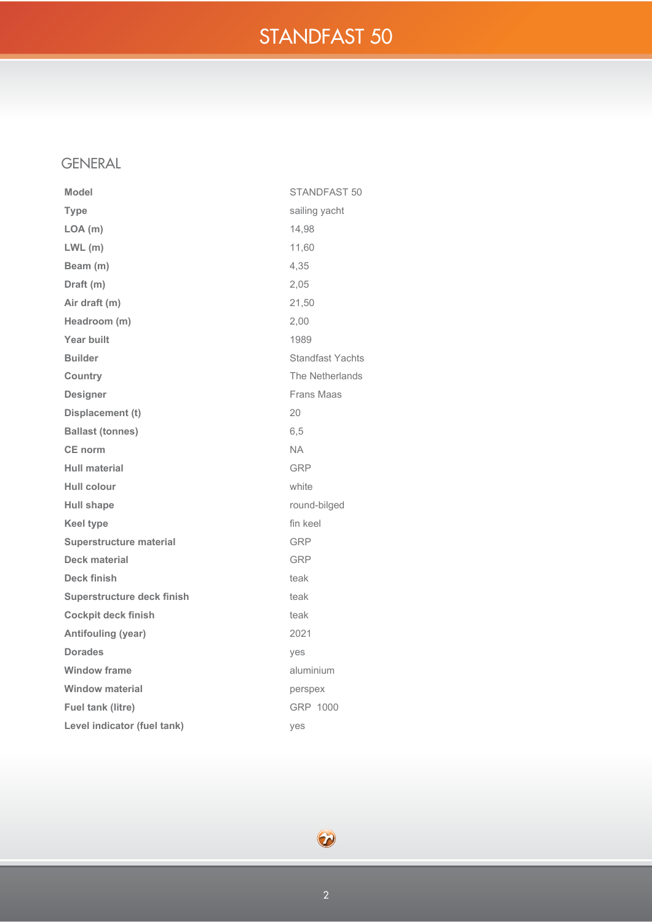### **GENERAL**

| <b>Model</b>                   | STANDFAST 50            |
|--------------------------------|-------------------------|
| <b>Type</b>                    | sailing yacht           |
| LOA(m)                         | 14,98                   |
| $LWL$ (m)                      | 11,60                   |
| Beam (m)                       | 4,35                    |
| Draft (m)                      | 2,05                    |
| Air draft (m)                  | 21,50                   |
| Headroom (m)                   | 2,00                    |
| Year built                     | 1989                    |
| <b>Builder</b>                 | <b>Standfast Yachts</b> |
| Country                        | The Netherlands         |
| <b>Designer</b>                | <b>Frans Maas</b>       |
| Displacement (t)               | 20                      |
| <b>Ballast (tonnes)</b>        | 6.5                     |
| CE norm                        | <b>NA</b>               |
| <b>Hull material</b>           | <b>GRP</b>              |
| Hull colour                    | white                   |
| <b>Hull shape</b>              | round-bilged            |
| <b>Keel type</b>               | fin keel                |
| <b>Superstructure material</b> | <b>GRP</b>              |
| <b>Deck material</b>           | <b>GRP</b>              |
| Deck finish                    | teak                    |
| Superstructure deck finish     | teak                    |
| <b>Cockpit deck finish</b>     | teak                    |
| Antifouling (year)             | 2021                    |
| <b>Dorades</b>                 | yes                     |
| <b>Window frame</b>            | aluminium               |
| <b>Window material</b>         | perspex                 |
| Fuel tank (litre)              | GRP 1000                |
| Level indicator (fuel tank)    | yes                     |

 $\bigodot$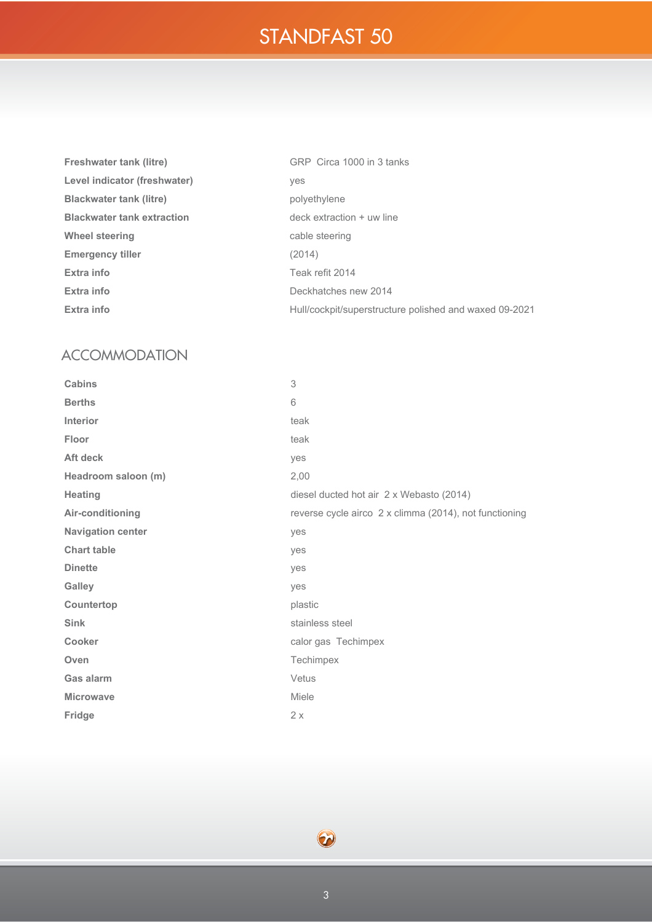| <b>Freshwater tank (litre)</b>    | GRP Circa 1000 in 3 tanks                              |
|-----------------------------------|--------------------------------------------------------|
| Level indicator (freshwater)      | <b>ves</b>                                             |
| <b>Blackwater tank (litre)</b>    | polyethylene                                           |
| <b>Blackwater tank extraction</b> | deck extraction + uw line                              |
| Wheel steering                    | cable steering                                         |
| <b>Emergency tiller</b>           | (2014)                                                 |
| Extra info                        | Teak refit 2014                                        |
| Extra info                        | Deckhatches new 2014                                   |
| Extra info                        | Hull/cockpit/superstructure polished and waxed 09-2021 |

## **ACCOMMODATION**

| <b>Cabins</b>            | 3                                                      |
|--------------------------|--------------------------------------------------------|
| <b>Berths</b>            | 6                                                      |
| Interior                 | teak                                                   |
| Floor                    | teak                                                   |
| Aft deck                 | yes                                                    |
| Headroom saloon (m)      | 2,00                                                   |
| <b>Heating</b>           | diesel ducted hot air 2 x Webasto (2014)               |
| Air-conditioning         | reverse cycle airco 2 x climma (2014), not functioning |
| <b>Navigation center</b> | yes                                                    |
| <b>Chart table</b>       | yes                                                    |
| <b>Dinette</b>           | yes                                                    |
| Galley                   | yes                                                    |
| Countertop               | plastic                                                |
| <b>Sink</b>              | stainless steel                                        |
| Cooker                   | calor gas Techimpex                                    |
| Oven                     | Techimpex                                              |
| <b>Gas alarm</b>         | Vetus                                                  |
| <b>Microwave</b>         | Miele                                                  |
| Fridge                   | 2x                                                     |

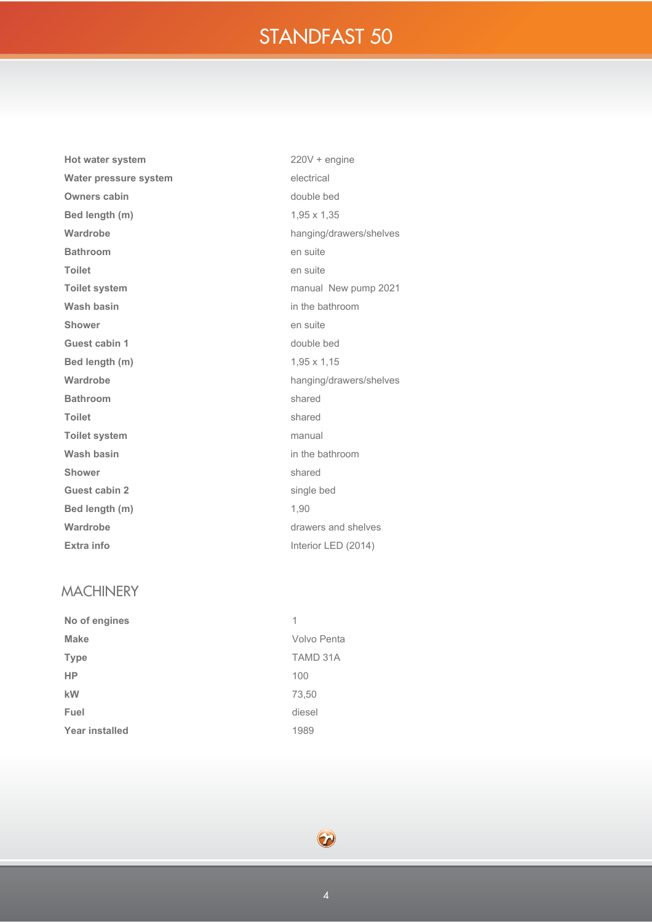**Hot water system 220V + engine Water pressure system electrical Owners** cabin **double** bed **Bed length (m) 1,95 x 1,35 Wardrobe hanging/drawers/shelves Bathroom en** suite **Toilet en suite Toilet system manual New pump 2021 Wash basin in the bathroom Shower en suite Guest cabin 1 double** bed **Bed length (m) 1,95 x 1,15 Wardrobe hanging/drawers/shelves Bathroom** shared **Toilet shared Toilet system manual Wash basin in the bathroom Shower shared Guest cabin 2 single bed Bed length (m) 1,90 Wardrobe drawers and shelves Extra info Interior LED** (2014)

### **MACHINERY**

| No of engines  | 1           |
|----------------|-------------|
| <b>Make</b>    | Volvo Penta |
| <b>Type</b>    | TAMD 31A    |
| HP             | 100         |
| kW             | 73,50       |
| Fuel           | diesel      |
| Year installed | 1989        |
|                |             |

 $\odot$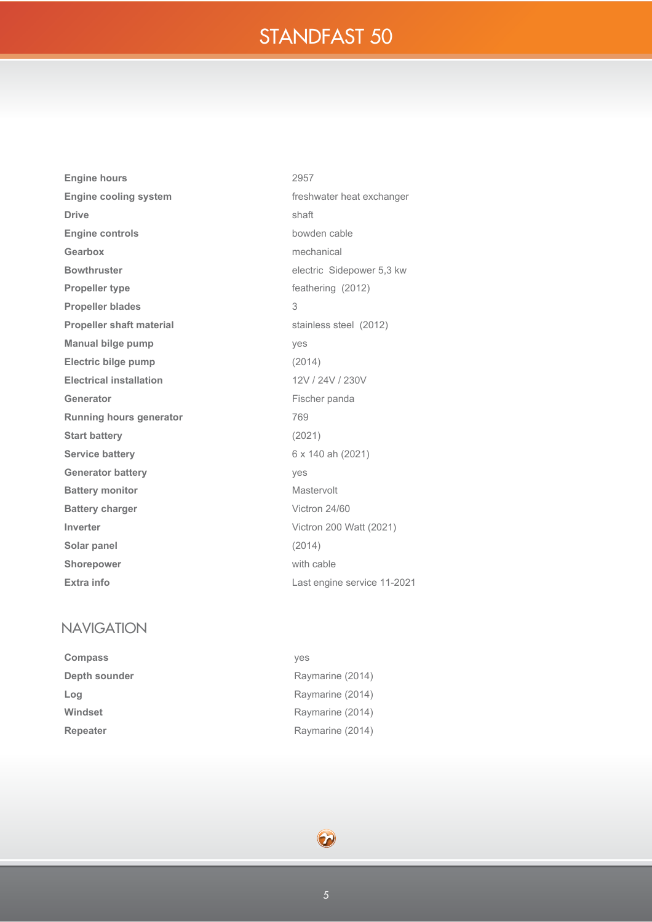**Engine hours 2957 Engine cooling system freshwater heat** exchanger **Drive shaft Engine controls bowden** cable **Gearbox mechanical Bowthruster electric Sidepower 5,3 kw Propeller type feathering** (2012) **Propeller blades 3 Propeller shaft material stainless steel (2012) Manual bilge pump yes Electric bilge pump (2014) Electrical installation 12V / 24V / 230V Generator Fischer panda Running hours generator 769 Start battery (2021) Service battery 6 x 140 ah (2021) Generator battery yes Battery monitor Mastervolt Battery charger Victron 24/60 Inverter Victron 200 Watt (2021) Solar panel (2014) Shorepower with cable** 

### **NAVIGATION**

| Compass         | ves              |
|-----------------|------------------|
| Depth sounder   | Raymarine (2014) |
| Log             | Raymarine (2014) |
| Windset         | Raymarine (2014) |
| <b>Repeater</b> | Raymarine (2014) |

**Extra info Last engine service 11-2021**

 $\bm{\omega}$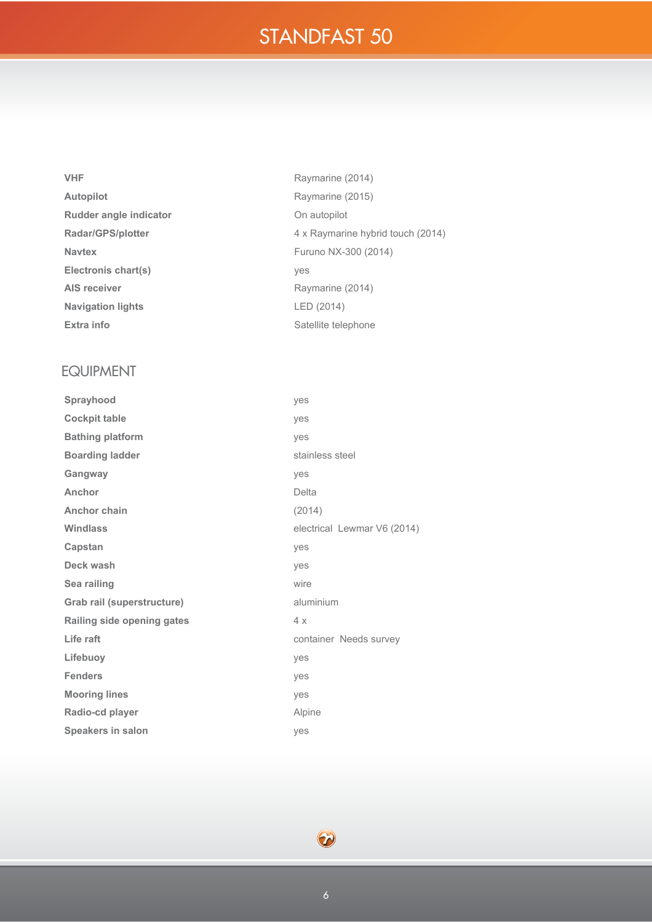| <b>VHF</b>               | Raymarine (2014)                  |
|--------------------------|-----------------------------------|
| <b>Autopilot</b>         | Raymarine (2015)                  |
| Rudder angle indicator   | On autopilot                      |
| Radar/GPS/plotter        | 4 x Raymarine hybrid touch (2014) |
| <b>Navtex</b>            | Furuno NX-300 (2014)              |
| Electronis chart(s)      | yes                               |
| <b>AIS receiver</b>      | Raymarine (2014)                  |
| <b>Navigation lights</b> | LED (2014)                        |
| Extra info               | Satellite telephone               |

## **EQUIPMENT**

| Sprayhood                  | yes                         |
|----------------------------|-----------------------------|
| <b>Cockpit table</b>       | yes                         |
| <b>Bathing platform</b>    | yes                         |
| <b>Boarding ladder</b>     | stainless steel             |
| Gangway                    | yes                         |
| Anchor                     | Delta                       |
| <b>Anchor chain</b>        | (2014)                      |
| <b>Windlass</b>            | electrical Lewmar V6 (2014) |
| Capstan                    | yes                         |
| Deck wash                  | yes                         |
| Sea railing                | wire                        |
| Grab rail (superstructure) | aluminium                   |
| Railing side opening gates | 4x                          |
| Life raft                  | container Needs survey      |
| Lifebuoy                   | yes                         |
| <b>Fenders</b>             | yes                         |
| <b>Mooring lines</b>       | yes                         |
| Radio-cd player            | Alpine                      |
| <b>Speakers in salon</b>   | yes                         |
|                            |                             |

 $\odot$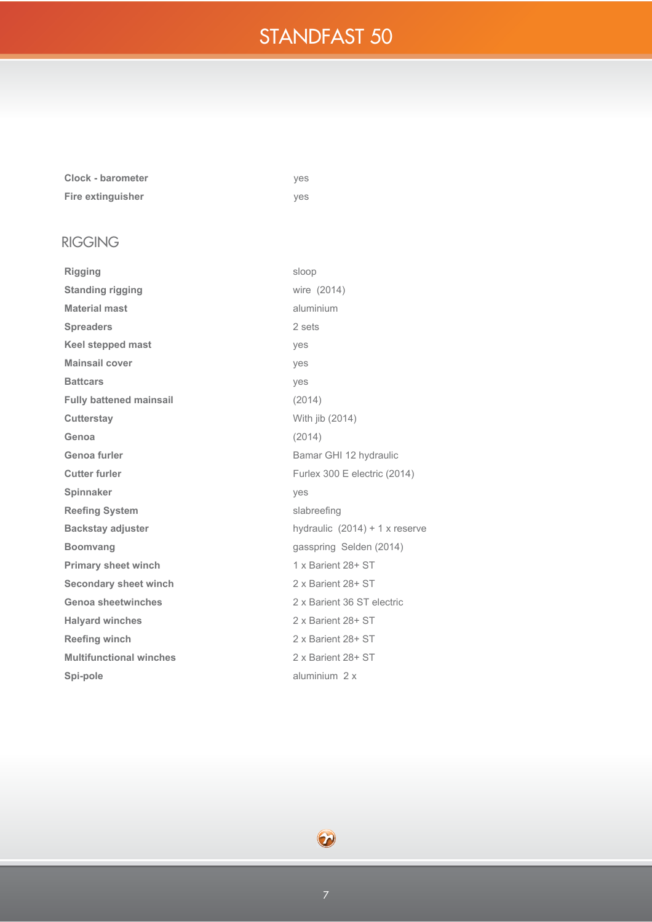| Clock - barometer        | ves |
|--------------------------|-----|
| <b>Fire extinguisher</b> | ves |

## **RIGGING**

| <b>Rigging</b>                 | sloop                            |
|--------------------------------|----------------------------------|
| <b>Standing rigging</b>        | wire (2014)                      |
| <b>Material mast</b>           | aluminium                        |
| <b>Spreaders</b>               | 2 sets                           |
| Keel stepped mast              | yes                              |
| <b>Mainsail cover</b>          | yes                              |
| <b>Battcars</b>                | yes                              |
| <b>Fully battened mainsail</b> | (2014)                           |
| <b>Cutterstay</b>              | With jib (2014)                  |
| Genoa                          | (2014)                           |
| Genoa furler                   | Bamar GHI 12 hydraulic           |
| <b>Cutter furler</b>           | Furlex 300 E electric (2014)     |
| Spinnaker                      | yes                              |
| <b>Reefing System</b>          | slabreefing                      |
| <b>Backstay adjuster</b>       | hydraulic $(2014) + 1$ x reserve |
| <b>Boomvang</b>                | gasspring Selden (2014)          |
| <b>Primary sheet winch</b>     | 1 x Barient 28+ ST               |
| <b>Secondary sheet winch</b>   | 2 x Barient 28+ ST               |
| <b>Genoa sheetwinches</b>      | 2 x Barient 36 ST electric       |
| <b>Halyard winches</b>         | 2 x Barient 28+ ST               |
| <b>Reefing winch</b>           | 2 x Barient 28+ ST               |
| <b>Multifunctional winches</b> | 2 x Barient 28+ ST               |
| Spi-pole                       | aluminium 2 x                    |

 $\bullet$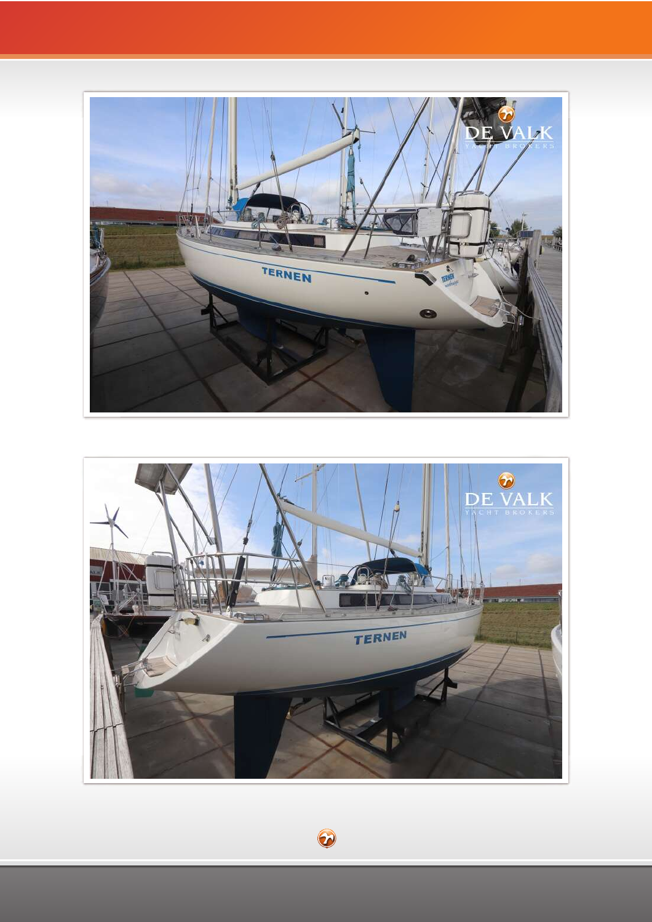67\$1')\$67



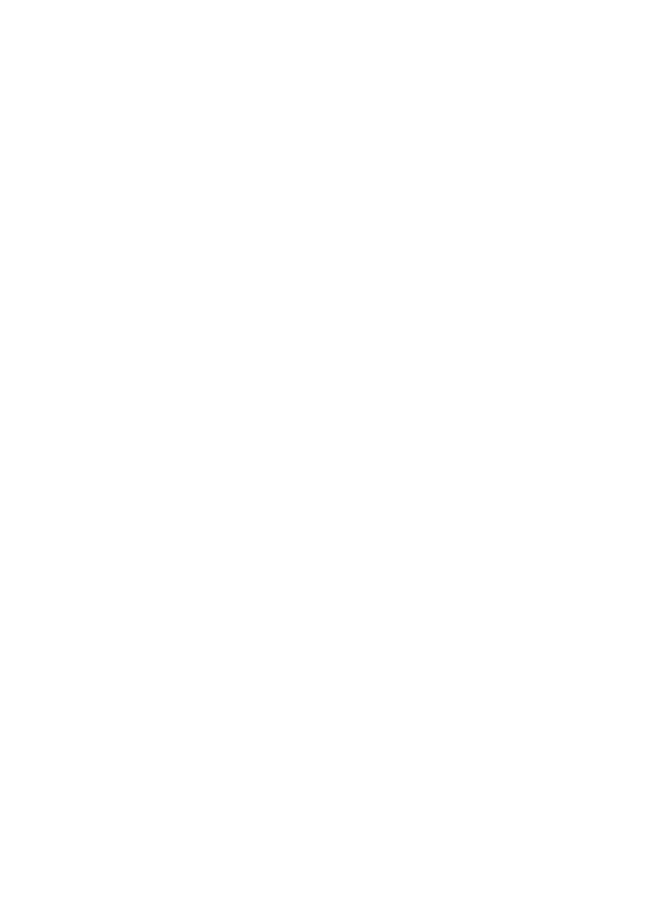| ---- |  |
|------|--|
|      |  |
|      |  |
|      |  |
|      |  |
|      |  |
|      |  |
|      |  |
|      |  |
|      |  |
|      |  |
|      |  |
|      |  |
|      |  |
|      |  |
|      |  |
|      |  |
|      |  |
|      |  |
|      |  |
|      |  |
|      |  |
|      |  |
|      |  |
|      |  |
|      |  |
|      |  |
|      |  |
|      |  |
|      |  |
|      |  |
|      |  |
|      |  |
|      |  |
|      |  |
|      |  |
|      |  |
|      |  |
|      |  |
|      |  |
|      |  |
|      |  |
|      |  |
|      |  |
|      |  |
|      |  |
|      |  |
|      |  |
|      |  |
|      |  |
|      |  |
|      |  |
|      |  |
|      |  |
|      |  |
|      |  |
|      |  |
|      |  |
|      |  |

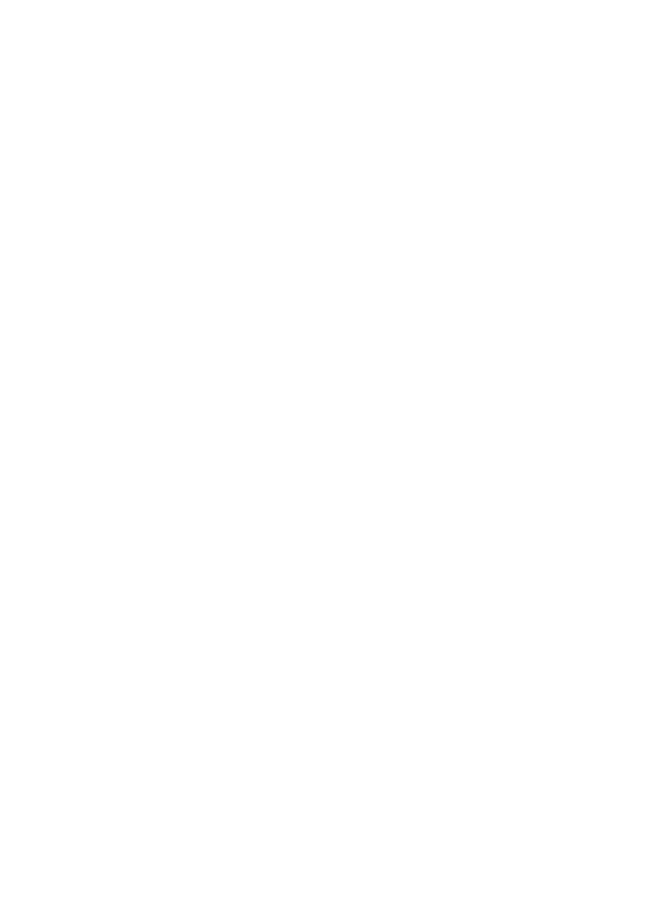| ---- |  |
|------|--|
|      |  |
|      |  |
|      |  |
|      |  |
|      |  |
|      |  |
|      |  |
|      |  |
|      |  |
|      |  |
|      |  |
|      |  |
|      |  |
|      |  |
|      |  |
|      |  |
|      |  |
|      |  |
|      |  |
|      |  |
|      |  |
|      |  |
|      |  |
|      |  |
|      |  |
|      |  |
|      |  |
|      |  |
|      |  |
|      |  |
|      |  |
|      |  |
|      |  |
|      |  |
|      |  |
|      |  |
|      |  |
|      |  |
|      |  |
|      |  |
|      |  |
|      |  |
|      |  |
|      |  |
|      |  |
|      |  |
|      |  |
|      |  |
|      |  |
|      |  |
|      |  |
|      |  |
|      |  |
|      |  |
|      |  |
|      |  |
|      |  |
|      |  |

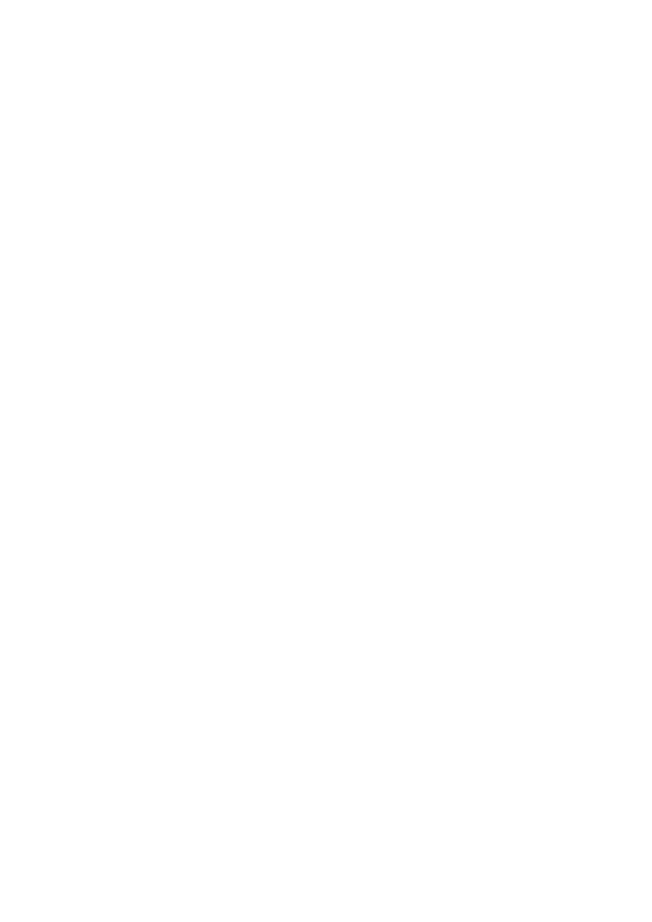| ---- |  |
|------|--|
|      |  |
|      |  |
|      |  |
|      |  |
|      |  |
|      |  |
|      |  |
|      |  |
|      |  |
|      |  |
|      |  |
|      |  |
|      |  |
|      |  |
|      |  |
|      |  |
|      |  |
|      |  |
|      |  |
|      |  |
|      |  |
|      |  |
|      |  |
|      |  |
|      |  |
|      |  |
|      |  |
|      |  |
|      |  |
|      |  |
|      |  |
|      |  |
|      |  |
|      |  |
|      |  |
|      |  |
|      |  |
|      |  |
|      |  |
|      |  |
|      |  |
|      |  |
|      |  |
|      |  |
|      |  |
|      |  |
|      |  |
|      |  |
|      |  |
|      |  |
|      |  |
|      |  |
|      |  |
|      |  |
|      |  |
|      |  |
|      |  |
|      |  |

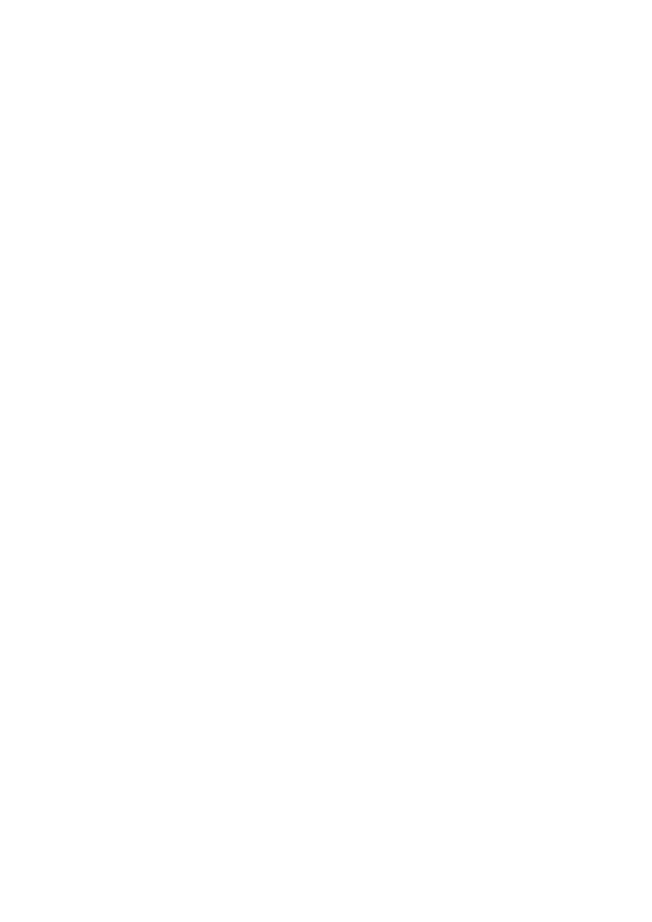| ---- |  |
|------|--|
|      |  |
|      |  |
|      |  |
|      |  |
|      |  |
|      |  |
|      |  |
|      |  |
|      |  |
|      |  |
|      |  |
|      |  |
|      |  |
|      |  |
|      |  |
|      |  |
|      |  |
|      |  |
|      |  |
|      |  |
|      |  |
|      |  |
|      |  |
|      |  |
|      |  |
|      |  |
|      |  |
|      |  |
|      |  |
|      |  |
|      |  |
|      |  |
|      |  |
|      |  |
|      |  |
|      |  |
|      |  |
|      |  |
|      |  |
|      |  |
|      |  |
|      |  |
|      |  |
|      |  |
|      |  |
|      |  |
|      |  |
|      |  |
|      |  |
|      |  |
|      |  |
|      |  |
|      |  |
|      |  |
|      |  |
|      |  |
|      |  |
|      |  |

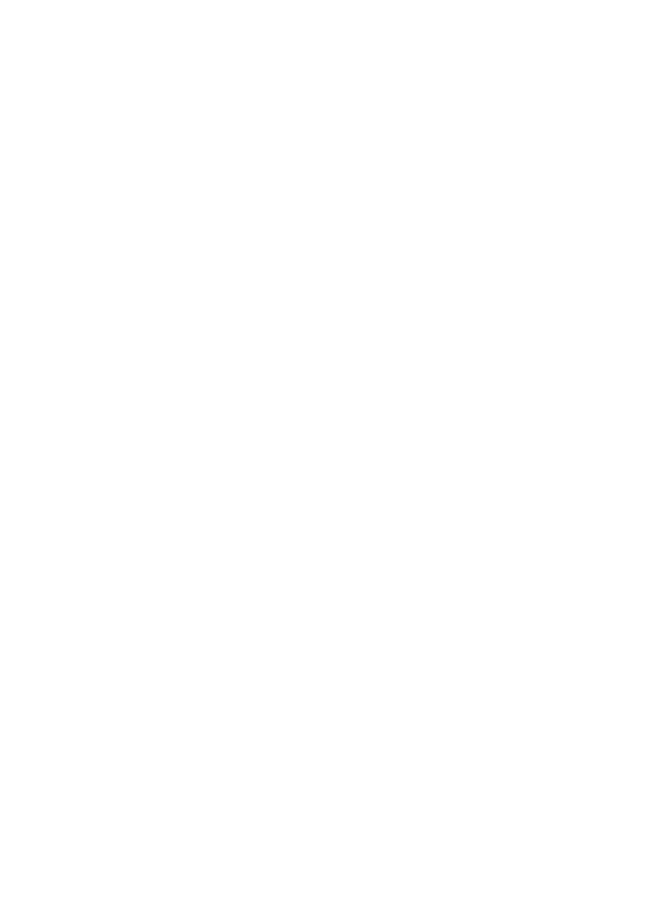| ---- |  |
|------|--|
|      |  |
|      |  |
|      |  |
|      |  |
|      |  |
|      |  |
|      |  |
|      |  |
|      |  |
|      |  |
|      |  |
|      |  |
|      |  |
|      |  |
|      |  |
|      |  |
|      |  |
|      |  |
|      |  |
|      |  |
|      |  |
|      |  |
|      |  |
|      |  |
|      |  |
|      |  |
|      |  |
|      |  |
|      |  |
|      |  |
|      |  |
|      |  |
|      |  |
|      |  |
|      |  |
|      |  |
|      |  |
|      |  |
|      |  |
|      |  |
|      |  |
|      |  |
|      |  |
|      |  |
|      |  |
|      |  |
|      |  |
|      |  |
|      |  |
|      |  |
|      |  |
|      |  |
|      |  |
|      |  |
|      |  |
|      |  |
|      |  |
|      |  |

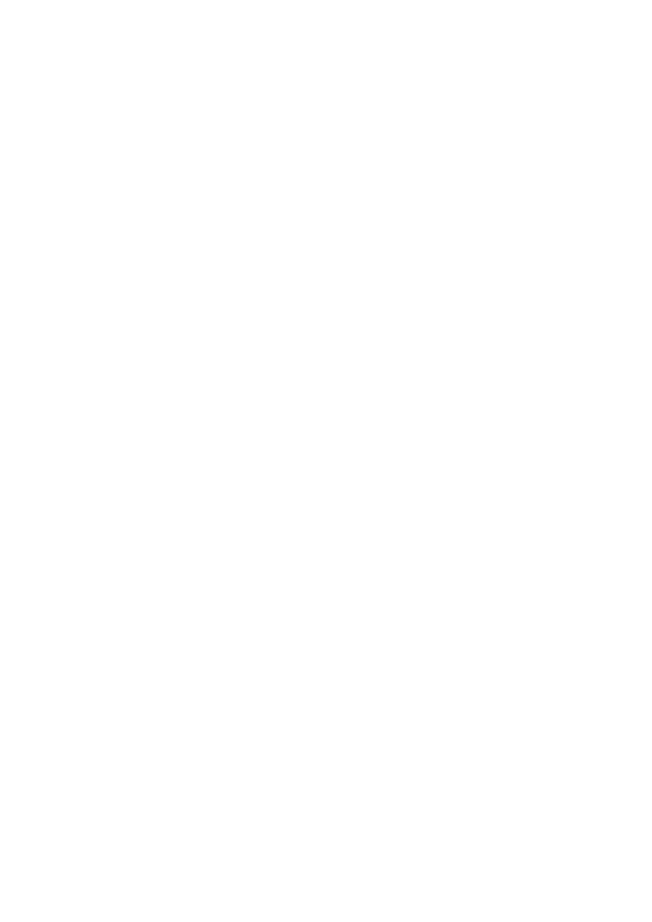| ---- |  |
|------|--|
|      |  |
|      |  |
|      |  |
|      |  |
|      |  |
|      |  |
|      |  |
|      |  |
|      |  |
|      |  |
|      |  |
|      |  |
|      |  |
|      |  |
|      |  |
|      |  |
|      |  |
|      |  |
|      |  |
|      |  |
|      |  |
|      |  |
|      |  |
|      |  |
|      |  |
|      |  |
|      |  |
|      |  |
|      |  |
|      |  |
|      |  |
|      |  |
|      |  |
|      |  |
|      |  |
|      |  |
|      |  |
|      |  |
|      |  |
|      |  |
|      |  |
|      |  |
|      |  |
|      |  |
|      |  |
|      |  |
|      |  |
|      |  |
|      |  |
|      |  |
|      |  |
|      |  |
|      |  |
|      |  |
|      |  |
|      |  |
|      |  |
|      |  |

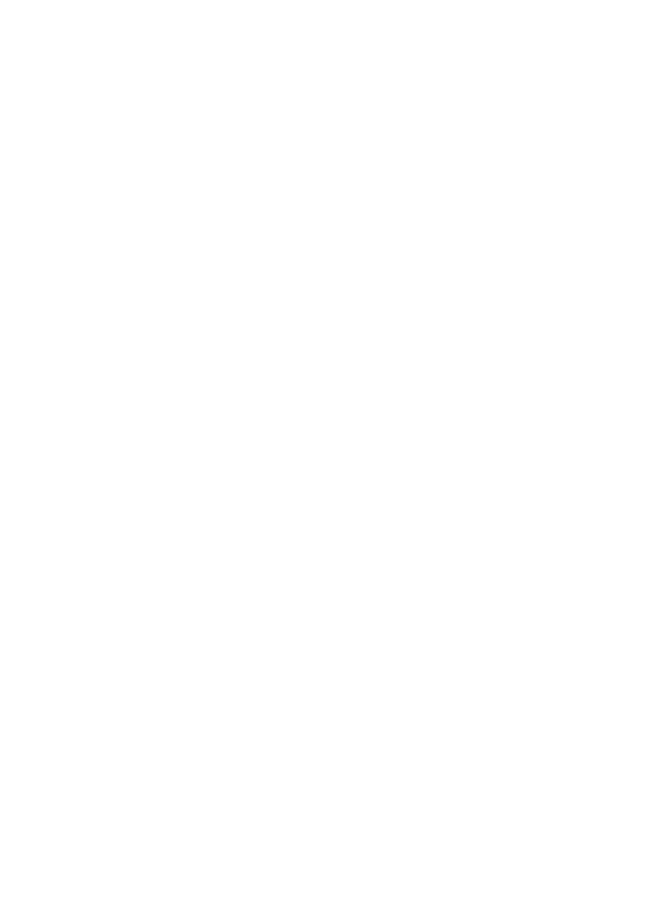| ---- |  |
|------|--|
|      |  |
|      |  |
|      |  |
|      |  |
|      |  |
|      |  |
|      |  |
|      |  |
|      |  |
|      |  |
|      |  |
|      |  |
|      |  |
|      |  |
|      |  |
|      |  |
|      |  |
|      |  |
|      |  |
|      |  |
|      |  |
|      |  |
|      |  |
|      |  |
|      |  |
|      |  |
|      |  |
|      |  |
|      |  |
|      |  |
|      |  |
|      |  |
|      |  |
|      |  |
|      |  |
|      |  |
|      |  |
|      |  |
|      |  |
|      |  |
|      |  |
|      |  |
|      |  |
|      |  |
|      |  |
|      |  |
|      |  |
|      |  |
|      |  |
|      |  |
|      |  |
|      |  |
|      |  |
|      |  |
|      |  |
|      |  |
|      |  |
|      |  |

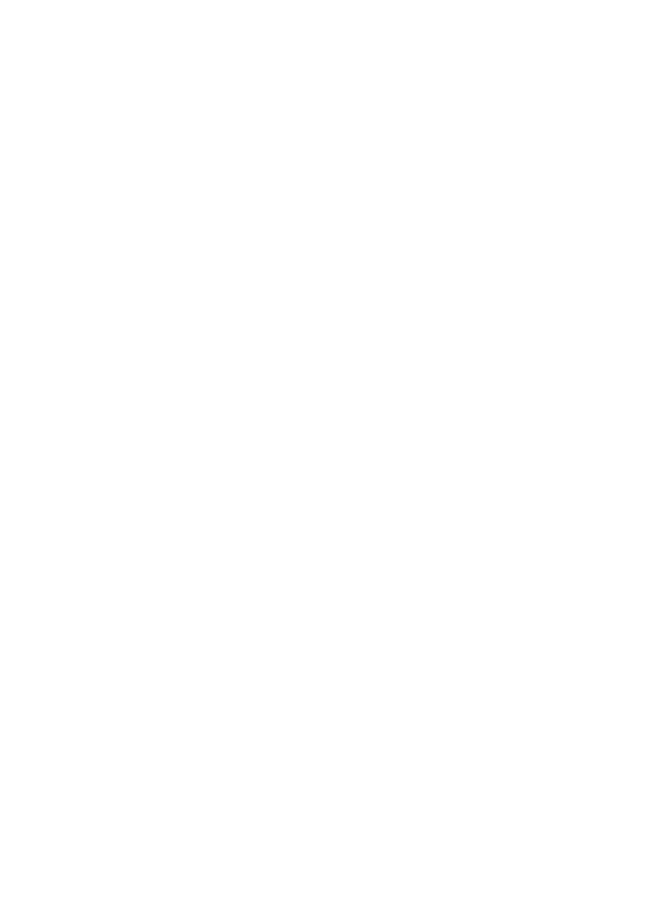| ---- |  |
|------|--|
|      |  |
|      |  |
|      |  |
|      |  |
|      |  |
|      |  |
|      |  |
|      |  |
|      |  |
|      |  |
|      |  |
|      |  |
|      |  |
|      |  |
|      |  |
|      |  |
|      |  |
|      |  |
|      |  |
|      |  |
|      |  |
|      |  |
|      |  |
|      |  |
|      |  |
|      |  |
|      |  |
|      |  |
|      |  |
|      |  |
|      |  |
|      |  |
|      |  |
|      |  |
|      |  |
|      |  |
|      |  |
|      |  |
|      |  |
|      |  |
|      |  |
|      |  |
|      |  |
|      |  |
|      |  |
|      |  |
|      |  |
|      |  |
|      |  |
|      |  |
|      |  |
|      |  |
|      |  |
|      |  |
|      |  |
|      |  |
|      |  |
|      |  |

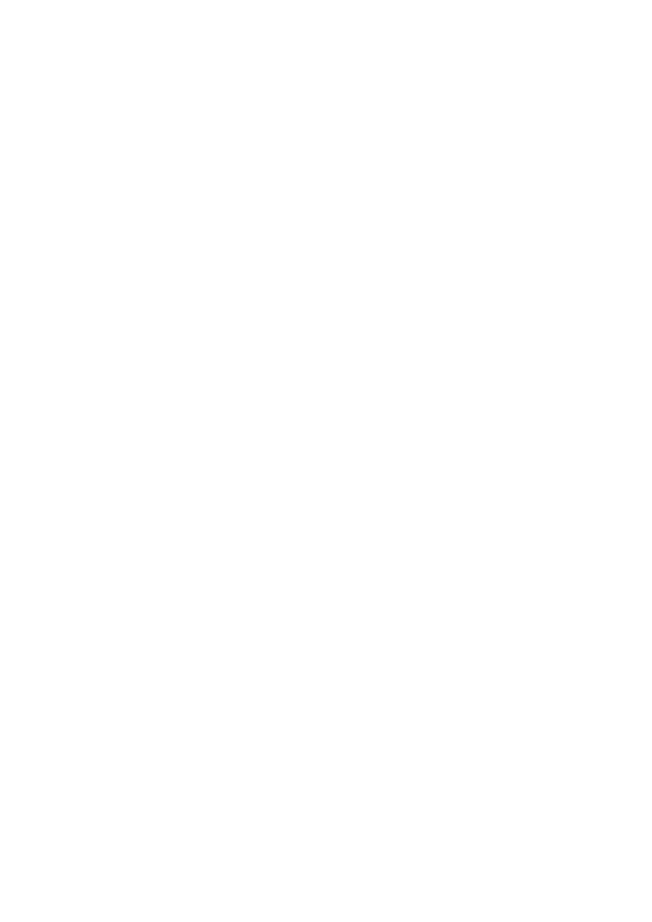| ---- |  |
|------|--|
|      |  |
|      |  |
|      |  |
|      |  |
|      |  |
|      |  |
|      |  |
|      |  |
|      |  |
|      |  |
|      |  |
|      |  |
|      |  |
|      |  |
|      |  |
|      |  |
|      |  |
|      |  |
|      |  |
|      |  |
|      |  |
|      |  |
|      |  |
|      |  |
|      |  |
|      |  |
|      |  |
|      |  |
|      |  |
|      |  |
|      |  |
|      |  |
|      |  |
|      |  |
|      |  |
|      |  |
|      |  |
|      |  |
|      |  |
|      |  |
|      |  |
|      |  |
|      |  |
|      |  |
|      |  |
|      |  |
|      |  |
|      |  |
|      |  |
|      |  |
|      |  |
|      |  |
|      |  |
|      |  |
|      |  |
|      |  |
|      |  |
|      |  |

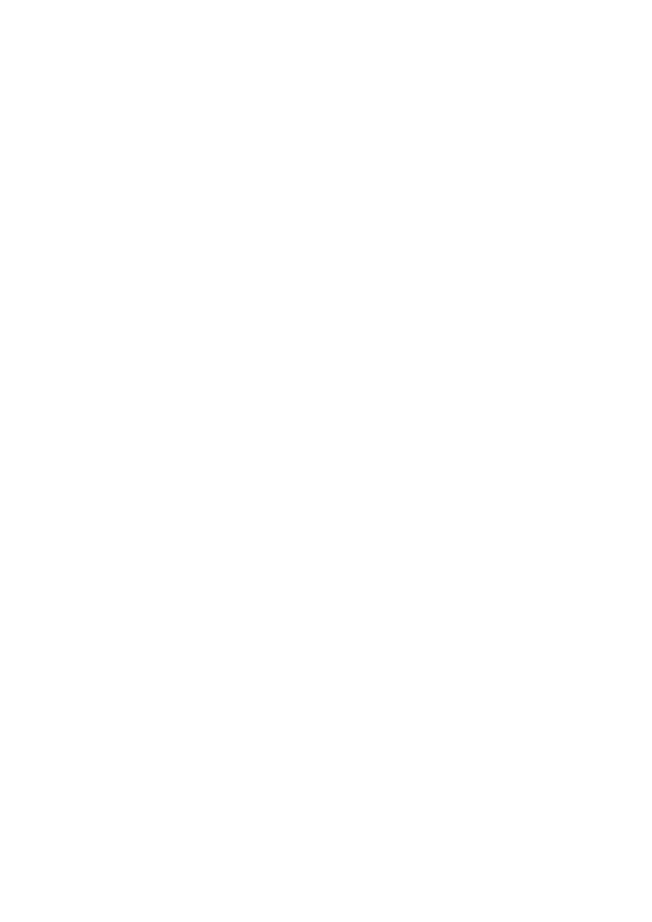| ---- |  |
|------|--|
|      |  |
|      |  |
|      |  |
|      |  |
|      |  |
|      |  |
|      |  |
|      |  |
|      |  |
|      |  |
|      |  |
|      |  |
|      |  |
|      |  |
|      |  |
|      |  |
|      |  |
|      |  |
|      |  |
|      |  |
|      |  |
|      |  |
|      |  |
|      |  |
|      |  |
|      |  |
|      |  |
|      |  |
|      |  |
|      |  |
|      |  |
|      |  |
|      |  |
|      |  |
|      |  |
|      |  |
|      |  |
|      |  |
|      |  |
|      |  |
|      |  |
|      |  |
|      |  |
|      |  |
|      |  |
|      |  |
|      |  |
|      |  |
|      |  |
|      |  |
|      |  |
|      |  |
|      |  |
|      |  |
|      |  |
|      |  |
|      |  |
|      |  |

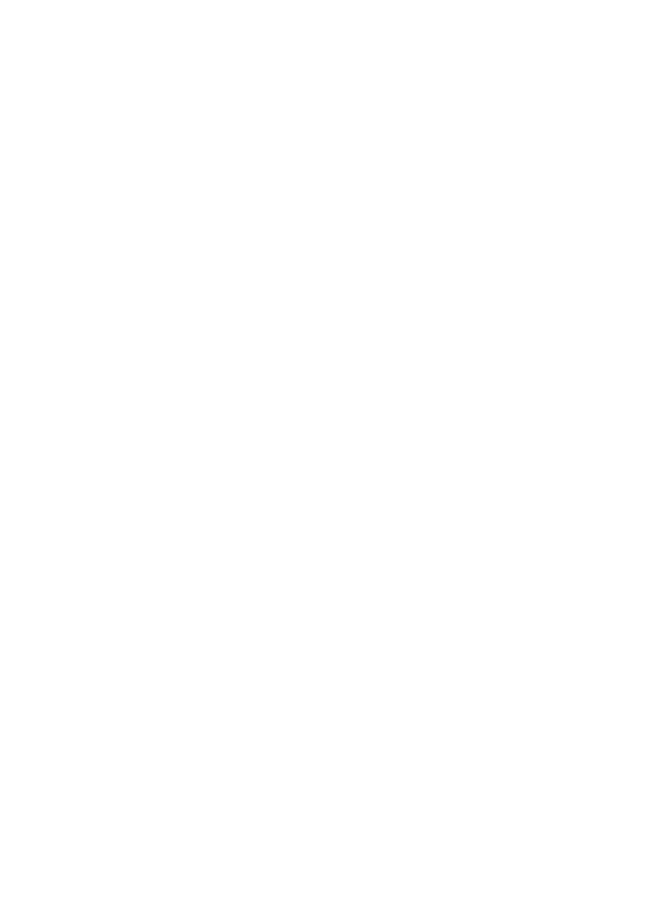| ---- |  |
|------|--|
|      |  |
|      |  |
|      |  |
|      |  |
|      |  |
|      |  |
|      |  |
|      |  |
|      |  |
|      |  |
|      |  |
|      |  |
|      |  |
|      |  |
|      |  |
|      |  |
|      |  |
|      |  |
|      |  |
|      |  |
|      |  |
|      |  |
|      |  |
|      |  |
|      |  |
|      |  |
|      |  |
|      |  |
|      |  |
|      |  |
|      |  |
|      |  |
|      |  |
|      |  |
|      |  |
|      |  |
|      |  |
|      |  |
|      |  |
|      |  |
|      |  |
|      |  |
|      |  |
|      |  |
|      |  |
|      |  |
|      |  |
|      |  |
|      |  |
|      |  |
|      |  |
|      |  |
|      |  |
|      |  |
|      |  |
|      |  |
|      |  |
|      |  |

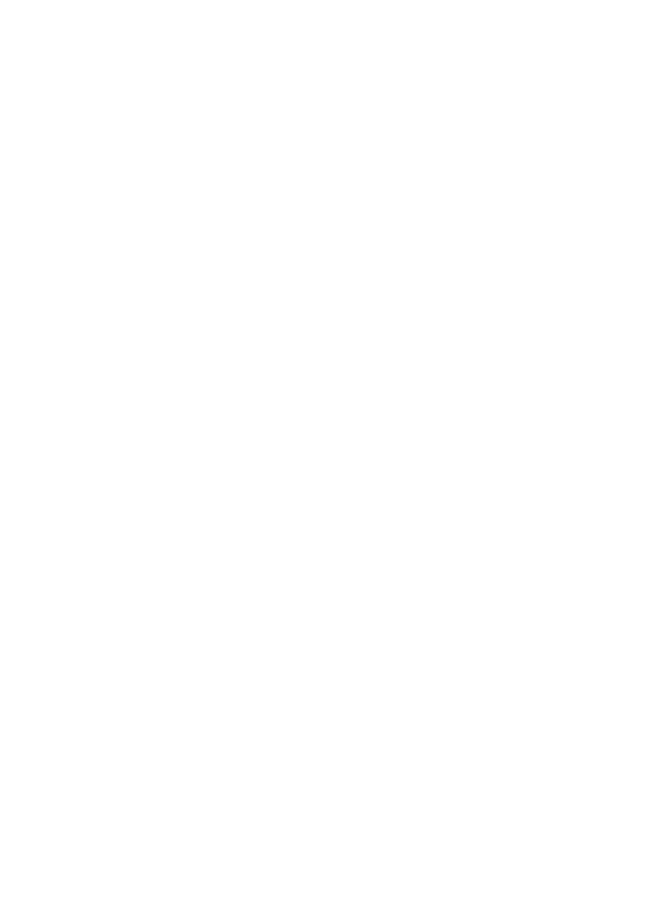| ---- |  |
|------|--|
|      |  |
|      |  |
|      |  |
|      |  |
|      |  |
|      |  |
|      |  |
|      |  |
|      |  |
|      |  |
|      |  |
|      |  |
|      |  |
|      |  |
|      |  |
|      |  |
|      |  |
|      |  |
|      |  |
|      |  |
|      |  |
|      |  |
|      |  |
|      |  |
|      |  |
|      |  |
|      |  |
|      |  |
|      |  |
|      |  |
|      |  |
|      |  |
|      |  |
|      |  |
|      |  |
|      |  |
|      |  |
|      |  |
|      |  |
|      |  |
|      |  |
|      |  |
|      |  |
|      |  |
|      |  |
|      |  |
|      |  |
|      |  |
|      |  |
|      |  |
|      |  |
|      |  |
|      |  |
|      |  |
|      |  |
|      |  |
|      |  |
|      |  |

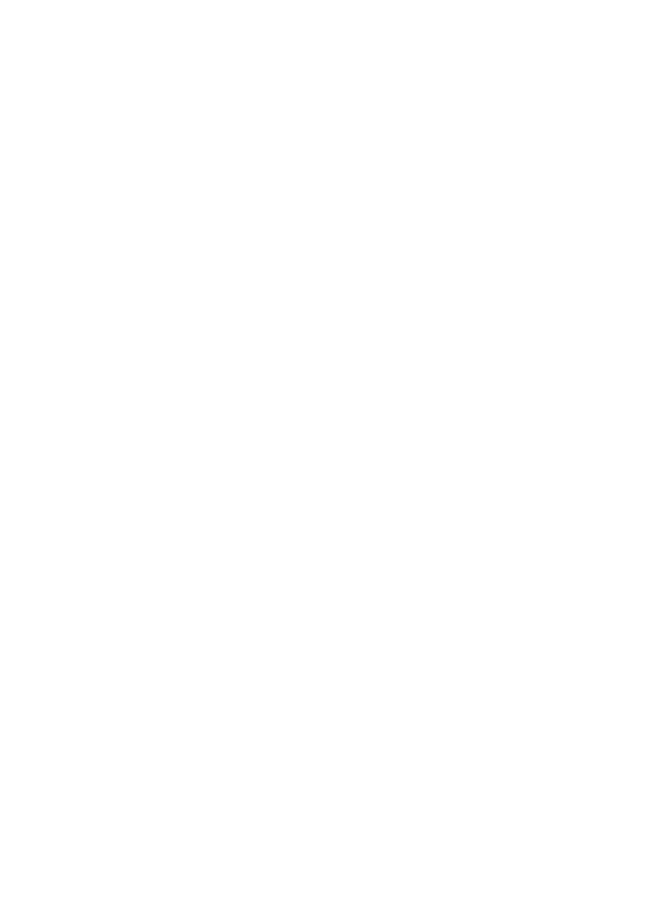| ---- |  |
|------|--|
|      |  |
|      |  |
|      |  |
|      |  |
|      |  |
|      |  |
|      |  |
|      |  |
|      |  |
|      |  |
|      |  |
|      |  |
|      |  |
|      |  |
|      |  |
|      |  |
|      |  |
|      |  |
|      |  |
|      |  |
|      |  |
|      |  |
|      |  |
|      |  |
|      |  |
|      |  |
|      |  |
|      |  |
|      |  |
|      |  |
|      |  |
|      |  |
|      |  |
|      |  |
|      |  |
|      |  |
|      |  |
|      |  |
|      |  |
|      |  |
|      |  |
|      |  |
|      |  |
|      |  |
|      |  |
|      |  |
|      |  |
|      |  |
|      |  |
|      |  |
|      |  |
|      |  |
|      |  |
|      |  |
|      |  |
|      |  |
|      |  |
|      |  |

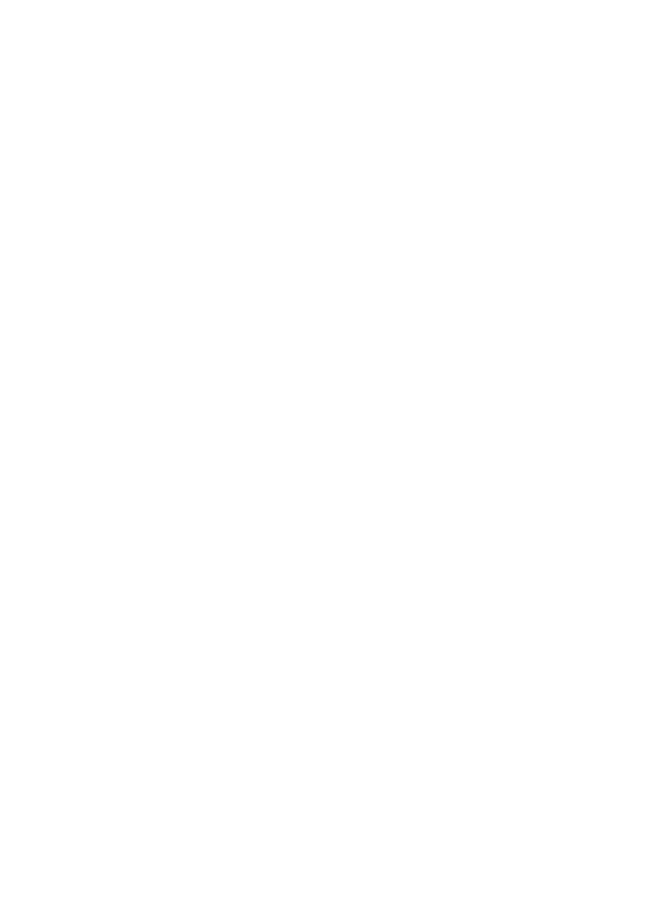| ---- |  |
|------|--|
|      |  |
|      |  |
|      |  |
|      |  |
|      |  |
|      |  |
|      |  |
|      |  |
|      |  |
|      |  |
|      |  |
|      |  |
|      |  |
|      |  |
|      |  |
|      |  |
|      |  |
|      |  |
|      |  |
|      |  |
|      |  |
|      |  |
|      |  |
|      |  |
|      |  |
|      |  |
|      |  |
|      |  |
|      |  |
|      |  |
|      |  |
|      |  |
|      |  |
|      |  |
|      |  |
|      |  |
|      |  |
|      |  |
|      |  |
|      |  |
|      |  |
|      |  |
|      |  |
|      |  |
|      |  |
|      |  |
|      |  |
|      |  |
|      |  |
|      |  |
|      |  |
|      |  |
|      |  |
|      |  |
|      |  |
|      |  |
|      |  |
|      |  |

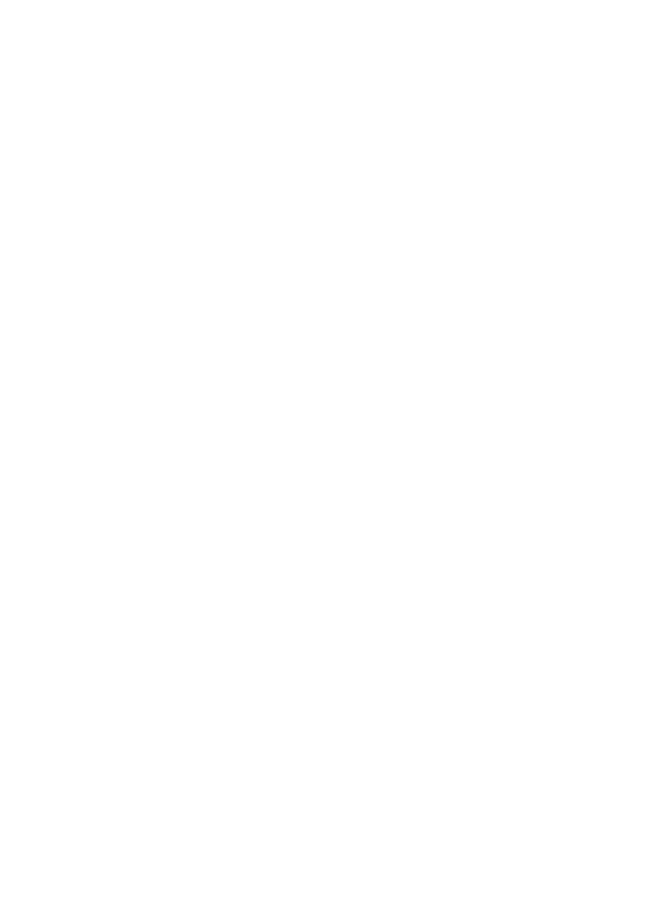| ---- |  |
|------|--|
|      |  |
|      |  |
|      |  |
|      |  |
|      |  |
|      |  |
|      |  |
|      |  |
|      |  |
|      |  |
|      |  |
|      |  |
|      |  |
|      |  |
|      |  |
|      |  |
|      |  |
|      |  |
|      |  |
|      |  |
|      |  |
|      |  |
|      |  |
|      |  |
|      |  |
|      |  |
|      |  |
|      |  |
|      |  |
|      |  |
|      |  |
|      |  |
|      |  |
|      |  |
|      |  |
|      |  |
|      |  |
|      |  |
|      |  |
|      |  |
|      |  |
|      |  |
|      |  |
|      |  |
|      |  |
|      |  |
|      |  |
|      |  |
|      |  |
|      |  |
|      |  |
|      |  |
|      |  |
|      |  |
|      |  |
|      |  |
|      |  |
|      |  |

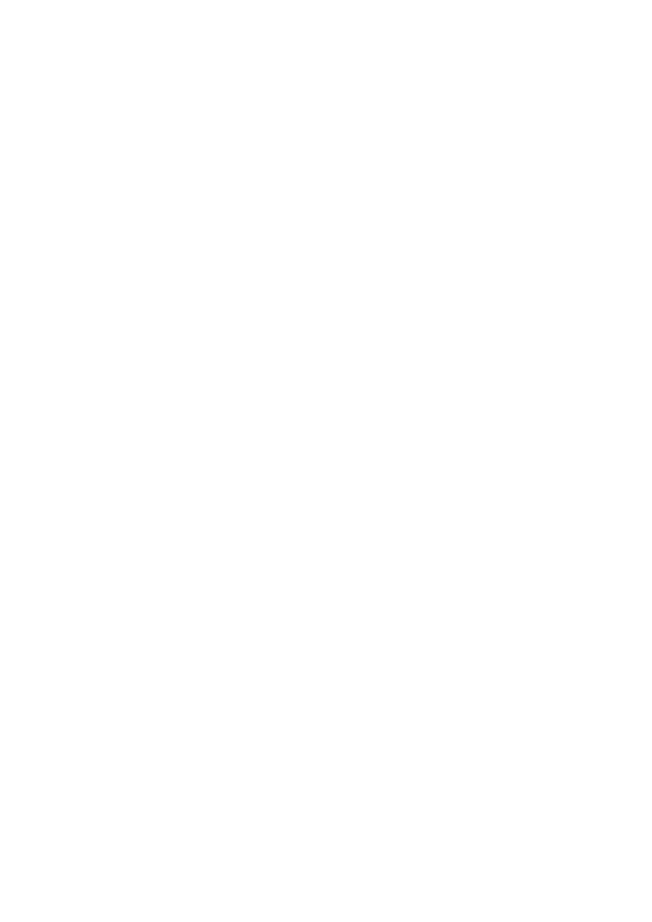| ---- |  |
|------|--|
|      |  |
|      |  |
|      |  |
|      |  |
|      |  |
|      |  |
|      |  |
|      |  |
|      |  |
|      |  |
|      |  |
|      |  |
|      |  |
|      |  |
|      |  |
|      |  |
|      |  |
|      |  |
|      |  |
|      |  |
|      |  |
|      |  |
|      |  |
|      |  |
|      |  |
|      |  |
|      |  |
|      |  |
|      |  |
|      |  |
|      |  |
|      |  |
|      |  |
|      |  |
|      |  |
|      |  |
|      |  |
|      |  |
|      |  |
|      |  |
|      |  |
|      |  |
|      |  |
|      |  |
|      |  |
|      |  |
|      |  |
|      |  |
|      |  |
|      |  |
|      |  |
|      |  |
|      |  |
|      |  |
|      |  |
|      |  |
|      |  |
|      |  |

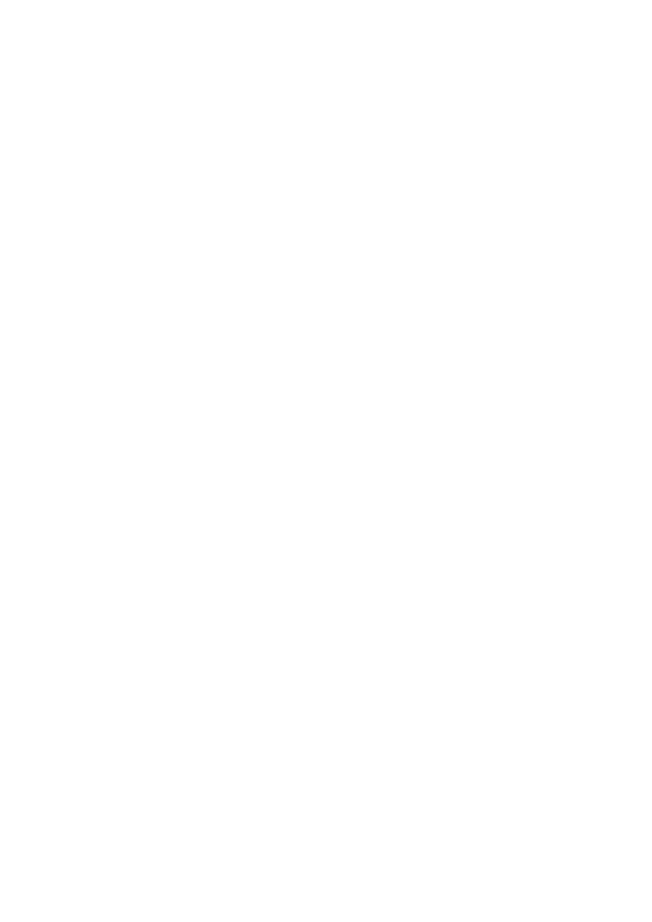| ---- |  |
|------|--|
|      |  |
|      |  |
|      |  |
|      |  |
|      |  |
|      |  |
|      |  |
|      |  |
|      |  |
|      |  |
|      |  |
|      |  |
|      |  |
|      |  |
|      |  |
|      |  |
|      |  |
|      |  |
|      |  |
|      |  |
|      |  |
|      |  |
|      |  |
|      |  |
|      |  |
|      |  |
|      |  |
|      |  |
|      |  |
|      |  |
|      |  |
|      |  |
|      |  |
|      |  |
|      |  |
|      |  |
|      |  |
|      |  |
|      |  |
|      |  |
|      |  |
|      |  |
|      |  |
|      |  |
|      |  |
|      |  |
|      |  |
|      |  |
|      |  |
|      |  |
|      |  |
|      |  |
|      |  |
|      |  |
|      |  |
|      |  |
|      |  |
|      |  |

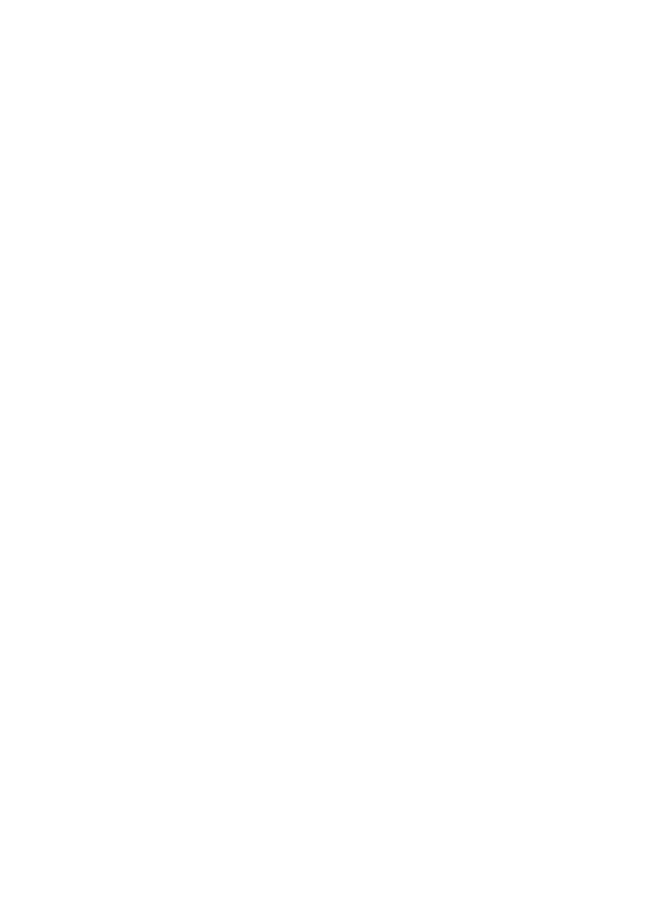| ---- |  |
|------|--|
|      |  |
|      |  |
|      |  |
|      |  |
|      |  |
|      |  |
|      |  |
|      |  |
|      |  |
|      |  |
|      |  |
|      |  |
|      |  |
|      |  |
|      |  |
|      |  |
|      |  |
|      |  |
|      |  |
|      |  |
|      |  |
|      |  |
|      |  |
|      |  |
|      |  |
|      |  |
|      |  |
|      |  |
|      |  |
|      |  |
|      |  |
|      |  |
|      |  |
|      |  |
|      |  |
|      |  |
|      |  |
|      |  |
|      |  |
|      |  |
|      |  |
|      |  |
|      |  |
|      |  |
|      |  |
|      |  |
|      |  |
|      |  |
|      |  |
|      |  |
|      |  |
|      |  |
|      |  |
|      |  |
|      |  |
|      |  |
|      |  |
|      |  |

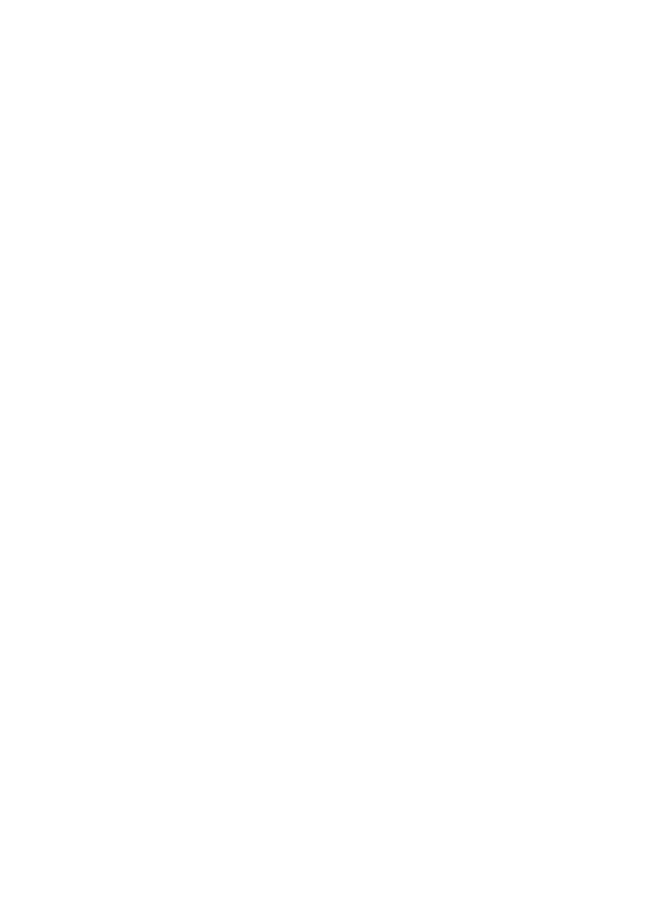| ---- |  |
|------|--|
|      |  |
|      |  |
|      |  |
|      |  |
|      |  |
|      |  |
|      |  |
|      |  |
|      |  |
|      |  |
|      |  |
|      |  |
|      |  |
|      |  |
|      |  |
|      |  |
|      |  |
|      |  |
|      |  |
|      |  |
|      |  |
|      |  |
|      |  |
|      |  |
|      |  |
|      |  |
|      |  |
|      |  |
|      |  |
|      |  |
|      |  |
|      |  |
|      |  |
|      |  |
|      |  |
|      |  |
|      |  |
|      |  |
|      |  |
|      |  |
|      |  |
|      |  |
|      |  |
|      |  |
|      |  |
|      |  |
|      |  |
|      |  |
|      |  |
|      |  |
|      |  |
|      |  |
|      |  |
|      |  |
|      |  |
|      |  |
|      |  |
|      |  |